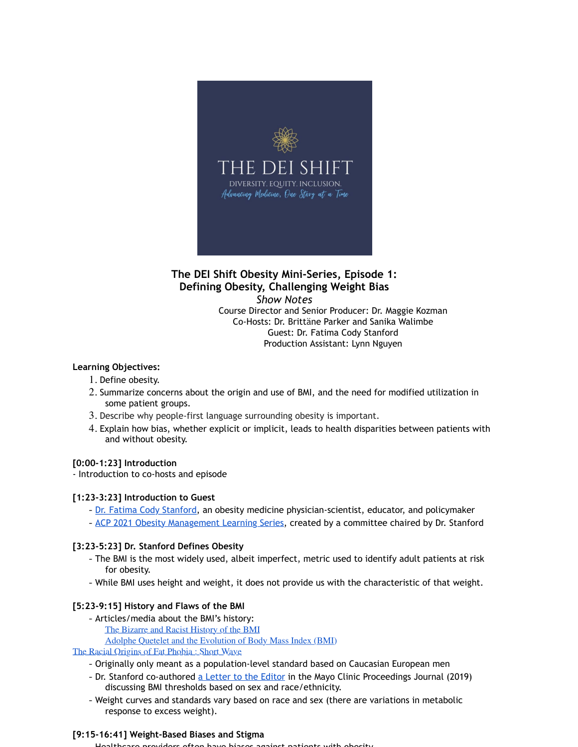

# **The DEI Shift Obesity Mini-Series, Episode 1: Defining Obesity, Challenging Weight Bias** *Show Notes* Course Director and Senior Producer: Dr. Maggie Kozman

Co-Hosts: Dr. Brittäne Parker and Sanika Walimbe Guest: Dr. Fatima Cody Stanford Production Assistant: Lynn Nguyen

# **Learning Objectives:**

- 1. Define obesity.
- 2. Summarize concerns about the origin and use of BMI, and the need for modified utilization in some patient groups.
- 3. Describe why people-first language surrounding obesity is important.
- 4. Explain how bias, whether explicit or implicit, leads to health disparities between patients with and without obesity.

# **[0:00-1:23] Introduction**

- Introduction to co-hosts and episode

# **[1:23-3:23] Introduction to Guest**

- Dr. Fatima Cody Stanford, an obesity medicine physician-scientist, educator, and policymaker
- ACP 2021 Obesity Management Learning Series, created by a committee chaired by Dr. Stanford

# **[3:23-5:23] Dr. Stanford Defines Obesity**

- The BMI is the most widely used, albeit imperfect, metric used to identify adult patients at risk for obesity.
- While BMI uses height and weight, it does not provide us with the characteristic of that weight.

# **[5:23-9:15] History and Flaws of the BMI**

- Articles/media about the BMI's history:
	- The Bizarre and Racist History of the BMI

Adolphe Quetelet and the Evolution of Body Mass Index (BMI)

The Racial Origins of Fat Phobia : Short Wave

- Originally only meant as a population-level standard based on Caucasian European men
- Dr. Stanford co-authored a Letter to the Editor in the Mayo Clinic Proceedings Journal (2019) discussing BMI thresholds based on sex and race/ethnicity.
- Weight curves and standards vary based on race and sex (there are variations in metabolic response to excess weight).

# **[9:15-16:41] Weight-Based Biases and Stigma**

- Healthcare providers often have biases against patients with obesity.